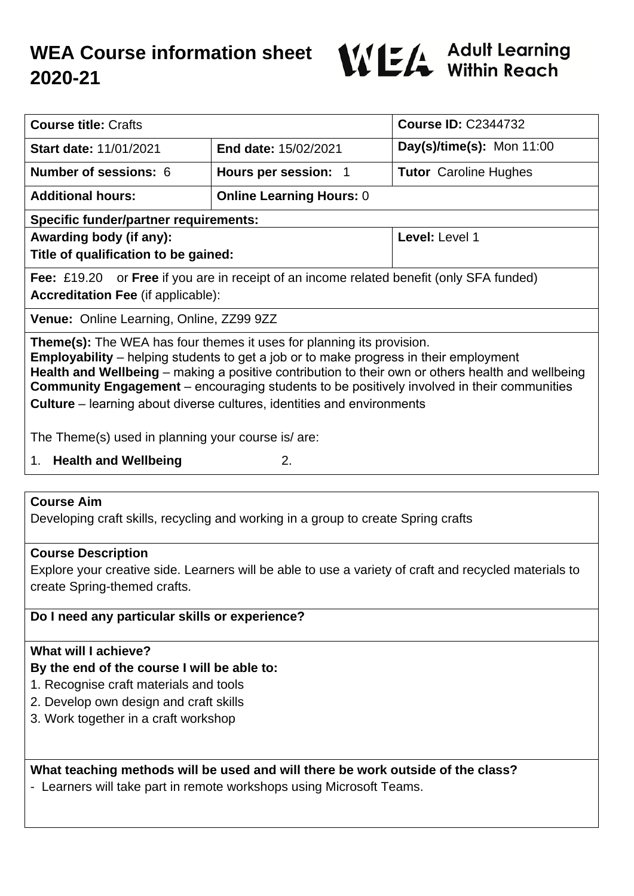# **WEA Course information sheet 2020-21**



| <b>Course title: Crafts</b>                                                                                                                                                                                                                                                                                                                                                                                                                                             |                                 | <b>Course ID: C2344732</b>   |
|-------------------------------------------------------------------------------------------------------------------------------------------------------------------------------------------------------------------------------------------------------------------------------------------------------------------------------------------------------------------------------------------------------------------------------------------------------------------------|---------------------------------|------------------------------|
| <b>Start date: 11/01/2021</b>                                                                                                                                                                                                                                                                                                                                                                                                                                           | <b>End date: 15/02/2021</b>     | Day(s)/time(s): Mon $11:00$  |
| <b>Number of sessions: 6</b>                                                                                                                                                                                                                                                                                                                                                                                                                                            | Hours per session: 1            | <b>Tutor</b> Caroline Hughes |
| <b>Additional hours:</b>                                                                                                                                                                                                                                                                                                                                                                                                                                                | <b>Online Learning Hours: 0</b> |                              |
| <b>Specific funder/partner requirements:</b>                                                                                                                                                                                                                                                                                                                                                                                                                            |                                 |                              |
| Awarding body (if any):<br>Title of qualification to be gained:                                                                                                                                                                                                                                                                                                                                                                                                         |                                 | Level: Level 1               |
| <b>Fee:</b> £19.20 or <b>Free</b> if you are in receipt of an income related benefit (only SFA funded)<br><b>Accreditation Fee (if applicable):</b>                                                                                                                                                                                                                                                                                                                     |                                 |                              |
| <b>Venue:</b> Online Learning, Online, ZZ99 9ZZ                                                                                                                                                                                                                                                                                                                                                                                                                         |                                 |                              |
| <b>Theme(s):</b> The WEA has four themes it uses for planning its provision.<br><b>Employability</b> – helping students to get a job or to make progress in their employment<br>Health and Wellbeing – making a positive contribution to their own or others health and wellbeing<br><b>Community Engagement</b> – encouraging students to be positively involved in their communities<br><b>Culture</b> – learning about diverse cultures, identities and environments |                                 |                              |
| The Theme(s) used in planning your course is/ are:                                                                                                                                                                                                                                                                                                                                                                                                                      |                                 |                              |
| <b>Health and Wellbeing</b><br>2.<br>1.                                                                                                                                                                                                                                                                                                                                                                                                                                 |                                 |                              |
|                                                                                                                                                                                                                                                                                                                                                                                                                                                                         |                                 |                              |

# **Course Aim**

Developing craft skills, recycling and working in a group to create Spring crafts

## **Course Description**

Explore your creative side. Learners will be able to use a variety of craft and recycled materials to create Spring-themed crafts.

# **Do I need any particular skills or experience?**

# **What will I achieve?**

## **By the end of the course I will be able to:**

- 1. Recognise craft materials and tools
- 2. Develop own design and craft skills
- 3. Work together in a craft workshop

**What teaching methods will be used and will there be work outside of the class?**

- Learners will take part in remote workshops using Microsoft Teams.